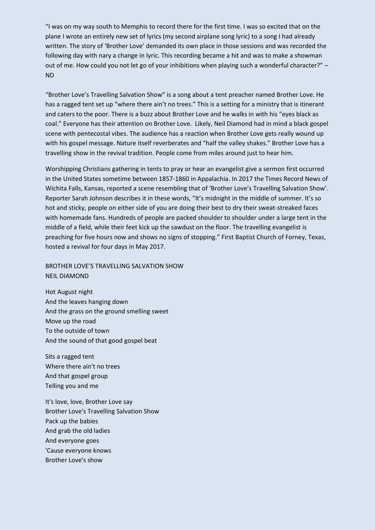"I was on my way south to Memphis to record there for the first time. I was so excited that on the plane I wrote an entirely new set of lyrics (my second airplane song lyric) to a song I had already written. The story of 'Brother Love' demanded its own place in those sessions and was recorded the following day with nary a change in lyric. This recording became a hit and was to make a showman out of me. How could you not let go of your inhibitions when playing such a wonderful character?" – ND

"Brother Love's Travelling Salvation Show" is a song about a tent preacher named Brother Love. He has a ragged tent set up "where there ain't no trees." This is a setting for a ministry that is itinerant and caters to the poor. There is a buzz about Brother Love and he walks in with his "eyes black as coal." Everyone has their attention on Brother Love. Likely, Neil Diamond had in mind a black gospel scene with pentecostal vibes. The audience has a reaction when Brother Love gets really wound up with his gospel message. Nature itself reverberates and "half the valley shakes." Brother Love has a travelling show in the revival tradition. People come from miles around just to hear him.

Worshipping Christians gathering in tents to pray or hear an evangelist give a sermon first occurred in the United States sometime between 1857-1860 in Appalachia. In 2017 the Times Record News of Wichita Falls, Kansas, reported a scene resembling that of 'Brother Love's Travelling Salvation Show'. Reporter Sarah Johnson describes it in these words, "It's midnight in the middle of summer. It's so hot and sticky, people on either side of you are doing their best to dry their sweat-streaked faces with homemade fans. Hundreds of people are packed shoulder to shoulder under a large tent in the middle of a field, while their feet kick up the sawdust on the floor. The travelling evangelist is preaching for five hours now and shows no signs of stopping." First Baptist Church of Forney, Texas, hosted a revival for four days in May 2017.

BROTHER LOVE'S TRAVELLING SALVATION SHOW NEIL DIAMOND

Hot August night And the leaves hanging down And the grass on the ground smelling sweet Move up the road To the outside of town And the sound of that good gospel beat

Sits a ragged tent Where there ain't no trees And that gospel group Telling you and me

It's love, love, Brother Love say Brother Love's Travelling Salvation Show Pack up the babies And grab the old ladies And everyone goes 'Cause everyone knows Brother Love's show